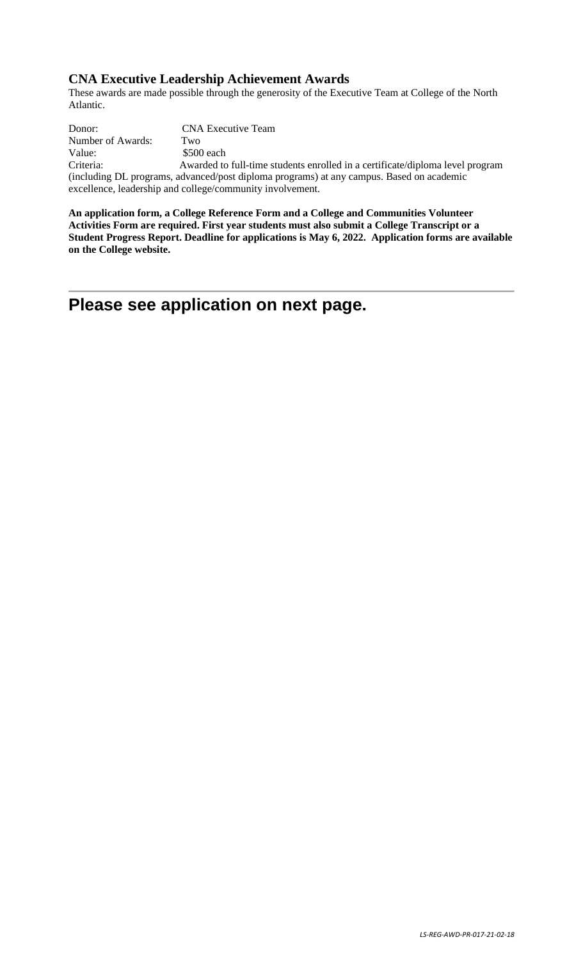### **CNA Executive Leadership Achievement Awards**

These awards are made possible through the generosity of the Executive Team at College of the North Atlantic.

Donor: CNA Executive Team Number of Awards: Two Value:  $$500 each$ Criteria: Awarded to full-time students enrolled in a certificate/diploma level program (including DL programs, advanced/post diploma programs) at any campus. Based on academic excellence, leadership and college/community involvement.

**An application form, a College Reference Form and a College and Communities Volunteer Activities Form are required. First year students must also submit a College Transcript or a Student Progress Report. Deadline for applications is May 6, 2022. Application forms are available on the College website.**

# **Please see application on next page.**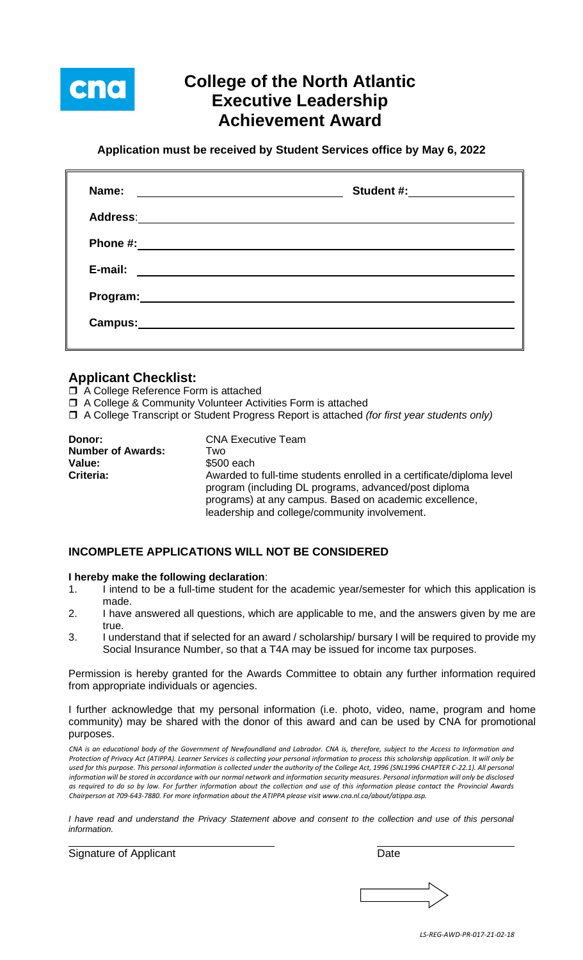

# **College of the North Atlantic Executive Leadership Achievement Award**

**Application must be received by Student Services office by May 6, 2022**

| Name:                                                                                                                           | Student #: ______________ |
|---------------------------------------------------------------------------------------------------------------------------------|---------------------------|
|                                                                                                                                 |                           |
|                                                                                                                                 |                           |
| E-mail:<br><u> Alexandria de la contrada de la contrada de la contrada de la contrada de la contrada de la contrada de la c</u> |                           |
|                                                                                                                                 |                           |
| Campus: Campus:                                                                                                                 |                           |
|                                                                                                                                 |                           |

## **Applicant Checklist:**

- □ A College Reference Form is attached
- A College & Community Volunteer Activities Form is attached
- A College Transcript or Student Progress Report is attached *(for first year students only)*

| Donor:                   | <b>CNA Executive Team</b>                                                                                                                                        |
|--------------------------|------------------------------------------------------------------------------------------------------------------------------------------------------------------|
| <b>Number of Awards:</b> | Two                                                                                                                                                              |
| Value:                   | \$500 each                                                                                                                                                       |
| Criteria:                | Awarded to full-time students enrolled in a certificate/diploma level                                                                                            |
|                          | program (including DL programs, advanced/post diploma<br>programs) at any campus. Based on academic excellence,<br>leadership and college/community involvement. |

### **INCOMPLETE APPLICATIONS WILL NOT BE CONSIDERED**

#### **I hereby make the following declaration**:

- 1. I intend to be a full-time student for the academic year/semester for which this application is made.
- 2. I have answered all questions, which are applicable to me, and the answers given by me are true.
- 3. I understand that if selected for an award / scholarship/ bursary I will be required to provide my Social Insurance Number, so that a T4A may be issued for income tax purposes.

Permission is hereby granted for the Awards Committee to obtain any further information required from appropriate individuals or agencies.

I further acknowledge that my personal information (i.e. photo, video, name, program and home community) may be shared with the donor of this award and can be used by CNA for promotional purposes.

*CNA is an educational body of the Government of Newfoundland and Labrador. CNA is, therefore, subject to the Access to Information and Protection of Privacy Act (ATIPPA). Learner Services is collecting your personal information to process this scholarship application. It will only be*  used for this purpose. This personal information is collected under the authority of the College Act, 1996 (SNL1996 CHAPTER C-22.1). All personal *information will be stored in accordance with our normal network and information security measures. Personal information will only be disclosed as required to do so by law. For further information about the collection and use of this information please contact the Provincial Awards Chairperson at 709-643-7880. For more information about the ATIPPA please visit www.cna.nl.ca/about/atippa.asp.*

*I have read and understand the Privacy Statement above and consent to the collection and use of this personal information.*

Signature of Applicant Date Date Date